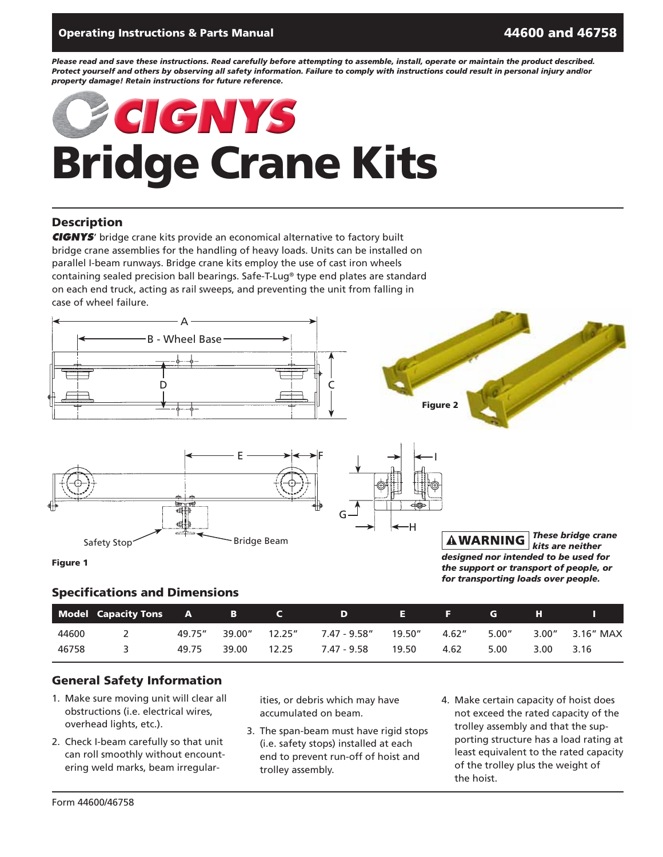#### Operating Instructions & Parts Manual 4600 and 46758 and 46758

*Please read and save these instructions. Read carefully before attempting to assemble, install, operate or maintain the product described. Protect yourself and others by observing all safety information. Failure to comply with instructions could result in personal injury and/or property damage! Retain instructions for future reference.*

# Bridge Crane Kits **CIGNYS**

#### **Description**

**CIGNYS**' bridge crane kits provide an economical alternative to factory built bridge crane assemblies for the handling of heavy loads. Units can be installed on parallel I-beam runways. Bridge crane kits employ the use of cast iron wheels containing sealed precision ball bearings. Safe-T-Lug® type end plates are standard on each end truck, acting as rail sweeps, and preventing the unit from falling in case of wheel failure.



I

H



**Figure 1** 

#### Specifications and Dimensions

|       | Model Capacity Tons | <b>A</b> | в      |         | D            | н       | н.     | G     | н     |           |
|-------|---------------------|----------|--------|---------|--------------|---------|--------|-------|-------|-----------|
| 44600 |                     | 49.75"   | 39.00" | 12.25'' | 7.47 - 9.58" | 19.50'' | 4.62'' | 5.00" | 3.00" | 3.16" MAX |
| 46758 |                     | 49.75    | 39.00  | 12.25   | 7.47 - 9.58  | 19.50   | 4.62   | 5.00  | 3.00  | 3.16      |

#### General Safety Information

- 1. Make sure moving unit will clear all obstructions (i.e. electrical wires, overhead lights, etc.).
- 2. Check I-beam carefully so that unit can roll smoothly without encountering weld marks, beam irregular-

ities, or debris which may have accumulated on beam.

- 3. The span-beam must have rigid stops (i.e. safety stops) installed at each end to prevent run-off of hoist and trolley assembly.
- 4. Make certain capacity of hoist does not exceed the rated capacity of the trolley assembly and that the supporting structure has a load rating at least equivalent to the rated capacity of the trolley plus the weight of the hoist.

*designed nor intended to be used for the support or transport of people, or for transporting loads over people.*

**AWARNING** 

*These bridge crane kits are neither*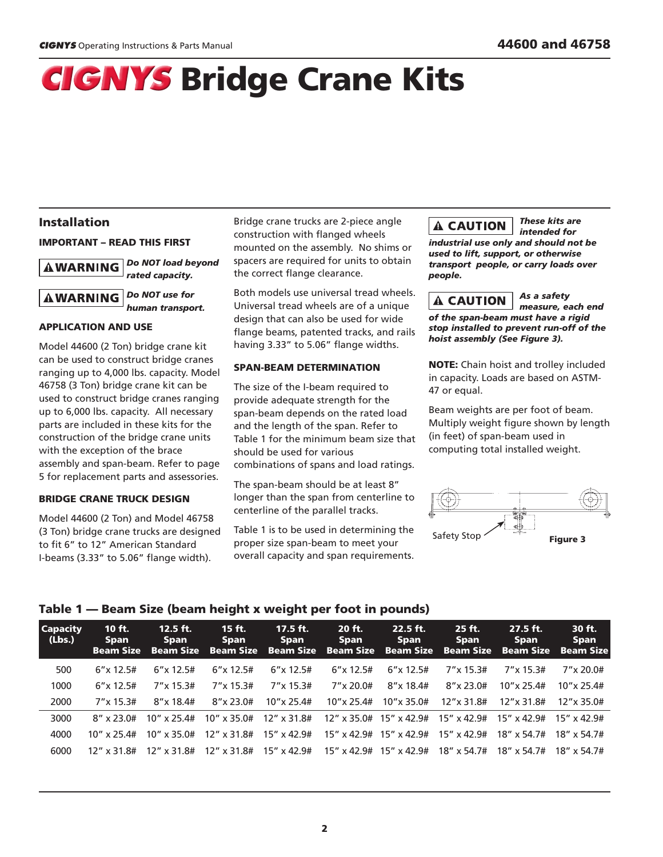*These kits are*

## **CIGNYS** Bridge Crane Kits

#### Installation

#### Important – Read This First

*Do not load beyond* **AWARNING** *rated capacity.*

*Do Not use for* **AWARNING** *human transport.*

#### application and use

Model 44600 (2 Ton) bridge crane kit can be used to construct bridge cranes ranging up to 4,000 lbs. capacity. Model 46758 (3 Ton) bridge crane kit can be used to construct bridge cranes ranging up to 6,000 lbs. capacity. All necessary parts are included in these kits for the construction of the bridge crane units with the exception of the brace assembly and span-beam. Refer to page 5 for replacement parts and assessories.

#### BRIDGE CRANE TRUCK DESIGN

Model 44600 (2 Ton) and Model 46758 (3 Ton) bridge crane trucks are designed to fit 6" to 12" American Standard I-beams (3.33" to 5.06" flange width).

Bridge crane trucks are 2-piece angle construction with flanged wheels mounted on the assembly. No shims or spacers are required for units to obtain the correct flange clearance.

Both models use universal tread wheels. Universal tread wheels are of a unique design that can also be used for wide flange beams, patented tracks, and rails having 3.33" to 5.06" flange widths.

#### SPAN-BEAM DETERMINATION

The size of the I-beam required to provide adequate strength for the span-beam depends on the rated load and the length of the span. Refer to Table 1 for the minimum beam size that should be used for various combinations of spans and load ratings.

The span-beam should be at least 8" longer than the span from centerline to centerline of the parallel tracks.

Table 1 is to be used in determining the proper size span-beam to meet your overall capacity and span requirements.

#### **A CAUTION**

*intended for industrial use only and should not be used to lift, support, or otherwise transport people, or carry loads over people.*

#### *As a safety* A CAUTION

*measure, each end of the span-beam must have a rigid stop installed to prevent run-off of the hoist assembly (See Figure 3).*

**NOTE:** Chain hoist and trolley included in capacity. Loads are based on ASTM-47 or equal.

Beam weights are per foot of beam. Multiply weight figure shown by length (in feet) of span-beam used in computing total installed weight.



#### Table 1 — Beam Size (beam height x weight per foot in pounds)

| <b>Capacity</b><br>(Lbs.) | $10$ ft.<br><b>Span</b><br><b>Beam Size</b> | $12.5$ ft.<br><b>Span</b><br><b>Beam Size</b> | $15$ ft.<br><b>Span</b><br><b>Beam Size</b> | $17.5$ ft.<br>Span<br><b>Beam Size</b> | 20 ft.<br>Span<br><b>Beam Size</b> | $22.5$ ft.<br>Span<br><b>Beam Size</b> | 25 ft.<br><b>Span</b><br><b>Beam Size</b> | $27.5$ ft.<br><b>Span</b><br><b>Beam Size</b> | 30 ft.<br><b>Span</b><br><b>Beam Size</b> |
|---------------------------|---------------------------------------------|-----------------------------------------------|---------------------------------------------|----------------------------------------|------------------------------------|----------------------------------------|-------------------------------------------|-----------------------------------------------|-------------------------------------------|
| 500                       | $6''$ x 12.5#                               | $6''$ x 12.5#                                 | $6''$ x 12.5#                               | $6''$ x 12.5#                          | $6''$ x 12.5#                      | $6''$ x 12.5#                          | $7''$ x 15.3#                             | $7''$ x 15.3#                                 | $7''$ x 20.0#                             |
| 1000                      | $6''$ x 12.5#                               | $7''$ x 15.3#                                 | $7''$ x 15.3#                               | $7''$ x 15.3#                          | $7''$ x 20.0#                      | $8''$ x 18.4#                          | $8''$ x 23.0#                             | $10''$ x 25.4#                                | $10''$ x 25.4#                            |
| 2000                      | $7''$ x 15.3#                               | $8''$ x 18.4#                                 | $8''$ x 23.0#                               | $10''$ x 25.4#                         | $10''$ x 25.4#                     | $10''$ x 35.0#                         | 12"x 31.8#                                | 12"x 31.8#                                    | $12''$ x 35.0#                            |
| 3000                      | $8''$ x 23.0#                               | $10''$ x 25.4#                                | $10'' \times 35.0$ #                        | 12" x 31.8#                            |                                    | $12''$ x 35.0# 15" x 42.9#             | $15''$ x 42.9#                            | $15''$ x 42.9#                                | $15''$ x 42.9#                            |
| 4000                      | $10''$ x 25.4#                              | $10'' \times 35.0#$                           | $12''$ x 31.8#                              | $15'' \times 42.9#$                    |                                    | $15''$ x 42.9# $15''$ x 42.9#          | $15'' \times 42.9#$                       | $18'' \times 54.7#$                           | $18'' \times 54.7#$                       |
| 6000                      | $12''$ x 31.8#                              | $12''$ x 31.8#                                | 12" x 31.8#                                 | 15" x 42.9#                            | $15''$ x 42.9# $15''$ x 42.9#      |                                        | 18" x 54.7#                               | $18''$ x 54.7#                                | 18" x 54.7#                               |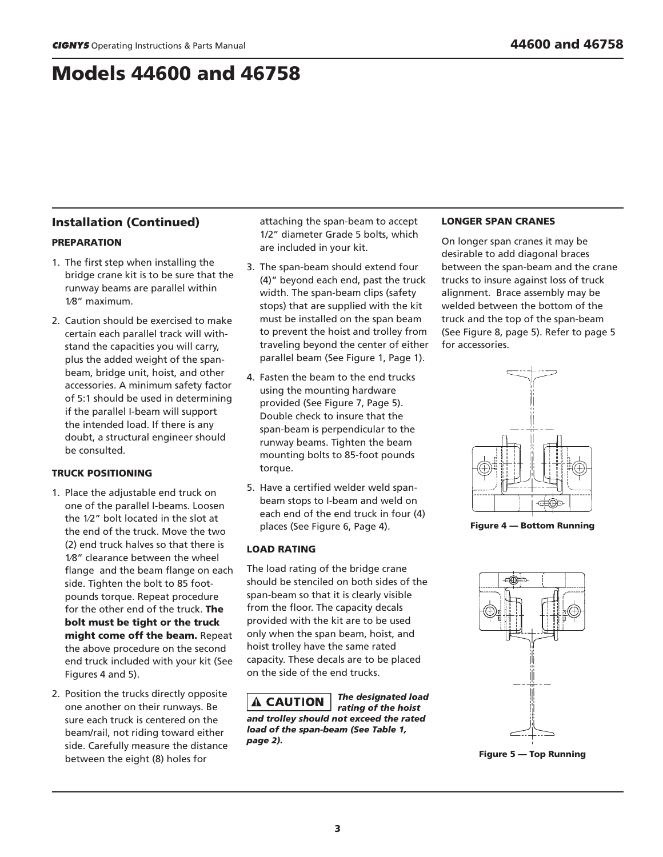### Models 44600 and 46758

#### Installation (Continued)

#### **PREPARATION**

- 1. The first step when installing the bridge crane kit is to be sure that the runway beams are parallel within 1⁄8" maximum.
- 2. Caution should be exercised to make certain each parallel track will withstand the capacities you will carry, plus the added weight of the spanbeam, bridge unit, hoist, and other accessories. A minimum safety factor of 5:1 should be used in determining if the parallel I-beam will support the intended load. If there is any doubt, a structural engineer should be consulted.

#### TRUCK POSITIONING

- 1. Place the adjustable end truck on one of the parallel I-beams. Loosen the 1⁄2" bolt located in the slot at the end of the truck. Move the two (2) end truck halves so that there is 1⁄8" clearance between the wheel flange and the beam flange on each side. Tighten the bolt to 85 footpounds torque. Repeat procedure for the other end of the truck. The bolt must be tight or the truck might come off the beam. Repeat the above procedure on the second end truck included with your kit (See Figures 4 and 5).
- 2. Position the trucks directly opposite one another on their runways. Be sure each truck is centered on the beam/rail, not riding toward either side. Carefully measure the distance between the eight (8) holes for

attaching the span-beam to accept 1/2" diameter Grade 5 bolts, which are included in your kit.

- 3. The span-beam should extend four (4)" beyond each end, past the truck width. The span-beam clips (safety stops) that are supplied with the kit must be installed on the span beam to prevent the hoist and trolley from traveling beyond the center of either parallel beam (See Figure 1, Page 1).
- 4. Fasten the beam to the end trucks using the mounting hardware provided (See Figure 7, Page 5). Double check to insure that the span-beam is perpendicular to the runway beams. Tighten the beam mounting bolts to 85-foot pounds torque.
- 5. Have a certified welder weld spanbeam stops to I-beam and weld on each end of the end truck in four (4) places (See Figure 6, Page 4).

#### LOAD RATING

The load rating of the bridge crane should be stenciled on both sides of the span-beam so that it is clearly visible from the floor. The capacity decals provided with the kit are to be used only when the span beam, hoist, and hoist trolley have the same rated capacity. These decals are to be placed on the side of the end trucks.

*The designated load* **A CAUTION** *rating of the hoist and trolley should not exceed the rated load of the span-beam (See Table 1, page 2).*

#### LONGER SPAN CRANES

On longer span cranes it may be desirable to add diagonal braces between the span-beam and the crane trucks to insure against loss of truck alignment. Brace assembly may be welded between the bottom of the truck and the top of the span-beam (See Figure 8, page 5). Refer to page 5 for accessories.



Figure 4 — Bottom Running



Figure 5 — Top Running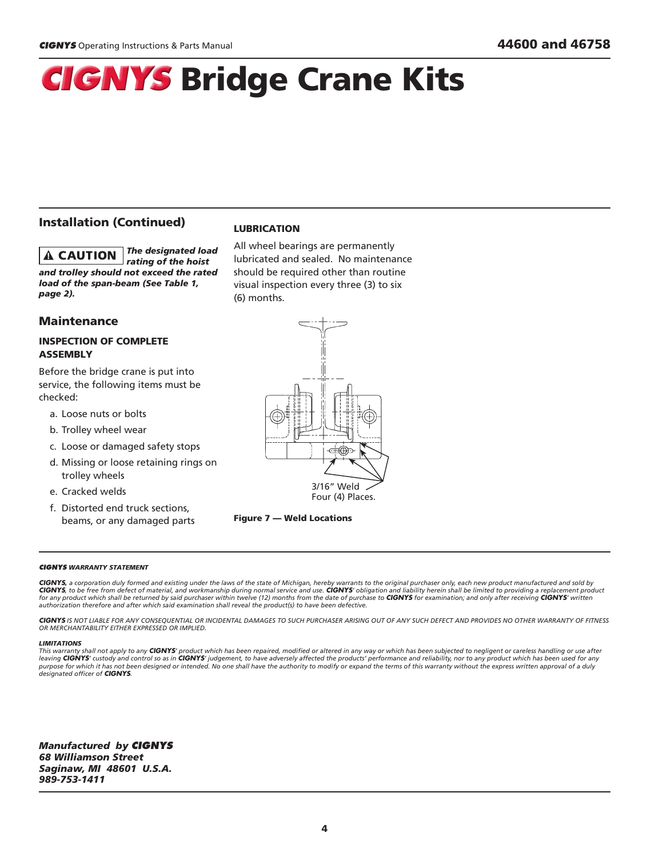## **CIGNYS Bridge Crane Kits**

#### Installation (Continued)

*The designated load* **A CAUTION** *rating of the hoist and trolley should not exceed the rated load of the span-beam (See Table 1, page 2).* 

#### **Maintenance**

#### INSPECTION OF COMPLETE **ASSEMBLY**

Before the bridge crane is put into service, the following items must be checked:

- a. Loose nuts or bolts
- b. Trolley wheel wear
- c. Loose or damaged safety stops
- d. Missing or loose retaining rings on trolley wheels
- e. Cracked welds
- f. Distorted end truck sections, beams, or any damaged parts

#### LUBRICATION

All wheel bearings are permanently lubricated and sealed. No maintenance should be required other than routine visual inspection every three (3) to six (6) months.





#### **CIGNYS** *Warranty Statement*

**CIGNYS***, a corporation duly formed and existing under the laws of the state of Michigan, hereby warrants to the original purchaser only, each new product manufactured and sold by*  **CIGNYS***, to be free from defect of material, and workmanship during normal service and use.* **CIGNYS***' obligation and liability herein shall be limited to providing a replacement product*  for any product which shall be returned by said purchaser within twelve (12) months from the date of purchase to **CIGNYS** for examination; and only after receiving **CIGNYS'** written *authorization therefore and after which said examination shall reveal the product(s) to have been defective.*

**CIGNYS** *IS NOT LIABLE FOR ANY CONSEQUENTIAL OR INCIDENTAL DAMAGES TO SUCH PURCHASER ARISING OUT OF ANY SUCH DEFECT AND PROVIDES NO OTHER WARRANTY OF FITNESS OR MERCHANTABILITY EITHER EXPRESSED OR IMPLIED.*

#### *LIMITATIONS*

This warranty shall not apply to any **CIGNYS'** product which has been repaired, modified or altered in any way or which has been subjected to negligent or careless handling or use after<br>leaving **CIGNYS'** custody and contro *purpose for which it has not been designed or intended. No one shall have the authority to modify or expand the terms of this warranty without the express written approval of a duly designated officer of* **CIGNYS***.*

*Manufactured by* **CIGNYS** *68 Williamson Street Saginaw, MI 48601 U.S.A. 989-753-1411*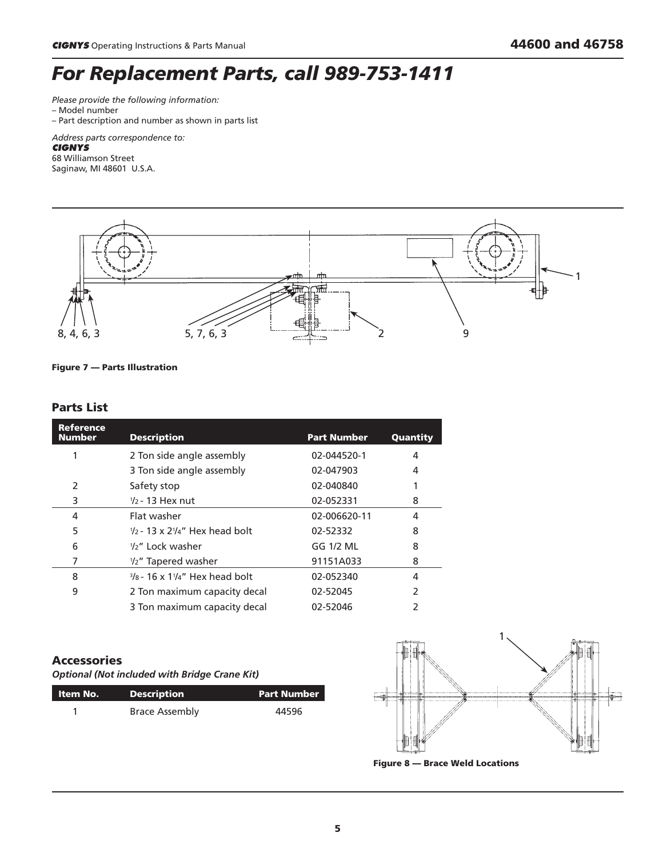## *For Replacement Parts, call 989-753-1411*

*Please provide the following information:* – Model number

– Part description and number as shown in parts list

*Address parts correspondence to:*

#### **CIGNYS**

68 Williamson Street Saginaw, MI 48601 U.S.A.



Figure 7 — Parts Illustration

#### Parts List

| Reference<br><b>Number</b> | <b>Description</b>                                          | <b>Part Number</b> | Quantity |
|----------------------------|-------------------------------------------------------------|--------------------|----------|
| 1                          | 2 Ton side angle assembly                                   | 02-044520-1        | 4        |
|                            | 3 Ton side angle assembly                                   | 02-047903          | 4        |
| 2                          | Safety stop                                                 | 02-040840          |          |
| 3                          | $\frac{1}{2}$ - 13 Hex nut                                  | 02-052331          | 8        |
| 4                          | Flat washer                                                 | 02-006620-11       | 4        |
| 5                          | $\frac{1}{2}$ - 13 x $\frac{2\frac{1}{4}}{4}$ Hex head bolt | 02-52332           | 8        |
| 6                          | $1/2$ " Lock washer                                         | GG 1/2 ML          | 8        |
| 7                          | 1/2" Tapered washer                                         | 91151A033          | 8        |
| 8                          | $\frac{3}{8}$ - 16 x 1 $\frac{1}{4}$ " Hex head bolt        | 02-052340          | 4        |
| 9                          | 2 Ton maximum capacity decal                                | 02-52045           | 2        |
|                            | 3 Ton maximum capacity decal                                | 02-52046           | 2        |

#### Accessories

*Optional (Not included with Bridge Crane Kit)*

| ltem No. | <b>Description</b>    | <b>Part Number</b> |
|----------|-----------------------|--------------------|
|          | <b>Brace Assembly</b> | 44596              |



Figure 8 — Brace Weld Locations